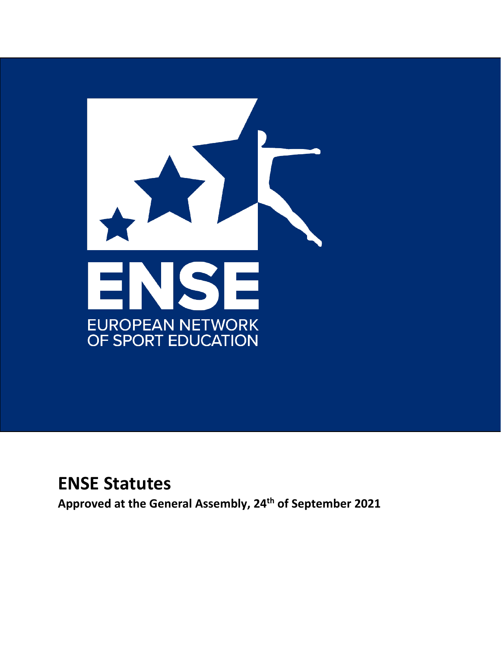

# **ENSE Statutes**

**Approved at the General Assembly, 24th of September 2021**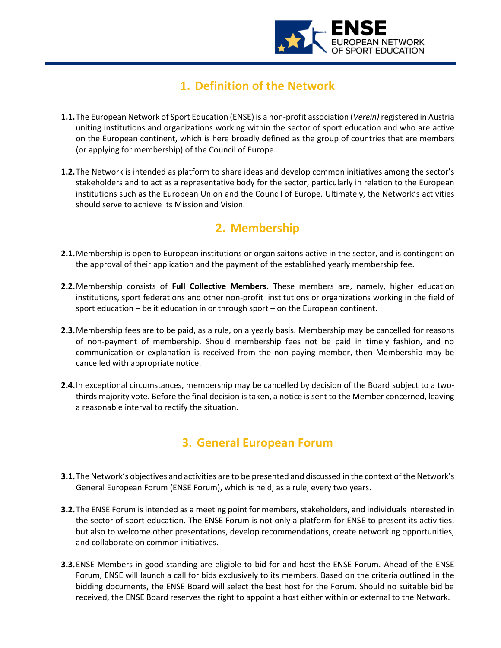

# **1. Definition of the Network**

 $\overline{a}$ 

- **1.1.**The European Network of Sport Education (ENSE) is a non-profit association (*Verein)* registered in Austria uniting institutions and organizations working within the sector of sport education and who are active on the European continent, which is here broadly defined as the group of countries that are members (or applying for membership) of the Council of Europe.
- **1.2.**The Network is intended as platform to share ideas and develop common initiatives among the sector's stakeholders and to act as a representative body for the sector, particularly in relation to the European institutions such as the European Union and the Council of Europe. Ultimately, the Network's activities should serve to achieve its Mission and Vision.

# **2. Membership**

- **2.1.**Membership is open to European institutions or organisaitons active in the sector, and is contingent on the approval of their application and the payment of the established yearly membership fee.
- **2.2.**Membership consists of **Full Collective Members.** These members are, namely, higher education institutions, sport federations and other non-profit institutions or organizations working in the field of sport education – be it education in or through sport – on the European continent.
- **2.3.**Membership fees are to be paid, as a rule, on a yearly basis. Membership may be cancelled for reasons of non-payment of membership. Should membership fees not be paid in timely fashion, and no communication or explanation is received from the non-paying member, then Membership may be cancelled with appropriate notice.
- **2.4.**In exceptional circumstances, membership may be cancelled by decision of the Board subject to a twothirds majority vote. Before the final decision is taken, a notice is sent to the Member concerned, leaving a reasonable interval to rectify the situation.

# **3. General European Forum**

- **3.1.**The Network's objectives and activities are to be presented and discussed in the context of the Network's General European Forum (ENSE Forum), which is held, as a rule, every two years.
- **3.2.**The ENSE Forum is intended as a meeting point for members, stakeholders, and individuals interested in the sector of sport education. The ENSE Forum is not only a platform for ENSE to present its activities, but also to welcome other presentations, develop recommendations, create networking opportunities, and collaborate on common initiatives.
- **3.3.**ENSE Members in good standing are eligible to bid for and host the ENSE Forum. Ahead of the ENSE Forum, ENSE will launch a call for bids exclusively to its members. Based on the criteria outlined in the bidding documents, the ENSE Board will select the best host for the Forum. Should no suitable bid be received, the ENSE Board reserves the right to appoint a host either within or external to the Network.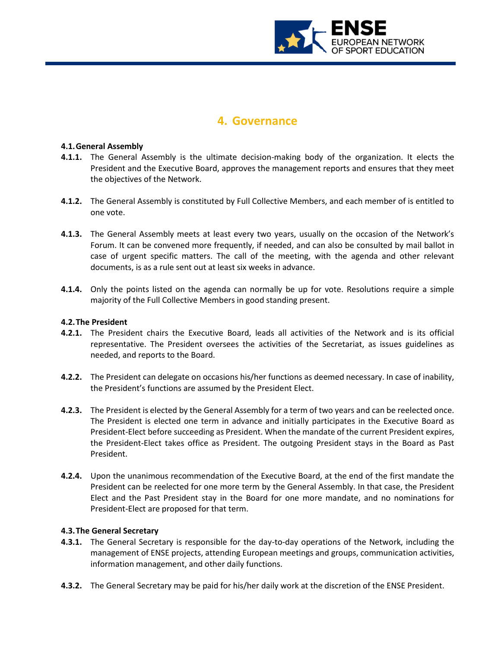

### **4. Governance**

#### **4.1.General Assembly**

 $\overline{a}$ 

- **4.1.1.** The General Assembly is the ultimate decision-making body of the organization. It elects the President and the Executive Board, approves the management reports and ensures that they meet the objectives of the Network.
- **4.1.2.** The General Assembly is constituted by Full Collective Members, and each member of is entitled to one vote.
- **4.1.3.** The General Assembly meets at least every two years, usually on the occasion of the Network's Forum. It can be convened more frequently, if needed, and can also be consulted by mail ballot in case of urgent specific matters. The call of the meeting, with the agenda and other relevant documents, is as a rule sent out at least six weeks in advance.
- **4.1.4.** Only the points listed on the agenda can normally be up for vote. Resolutions require a simple majority of the Full Collective Members in good standing present.

#### **4.2.The President**

- **4.2.1.** The President chairs the Executive Board, leads all activities of the Network and is its official representative. The President oversees the activities of the Secretariat, as issues guidelines as needed, and reports to the Board.
- **4.2.2.** The President can delegate on occasions his/her functions as deemed necessary. In case of inability, the President's functions are assumed by the President Elect.
- **4.2.3.** The President is elected by the General Assembly for a term of two years and can be reelected once. The President is elected one term in advance and initially participates in the Executive Board as President-Elect before succeeding as President. When the mandate of the current President expires, the President-Elect takes office as President. The outgoing President stays in the Board as Past President.
- **4.2.4.** Upon the unanimous recommendation of the Executive Board, at the end of the first mandate the President can be reelected for one more term by the General Assembly. In that case, the President Elect and the Past President stay in the Board for one more mandate, and no nominations for President-Elect are proposed for that term.

#### **4.3.The General Secretary**

- **4.3.1.** The General Secretary is responsible for the day-to-day operations of the Network, including the management of ENSE projects, attending European meetings and groups, communication activities, information management, and other daily functions.
- **4.3.2.** The General Secretary may be paid for his/her daily work at the discretion of the ENSE President.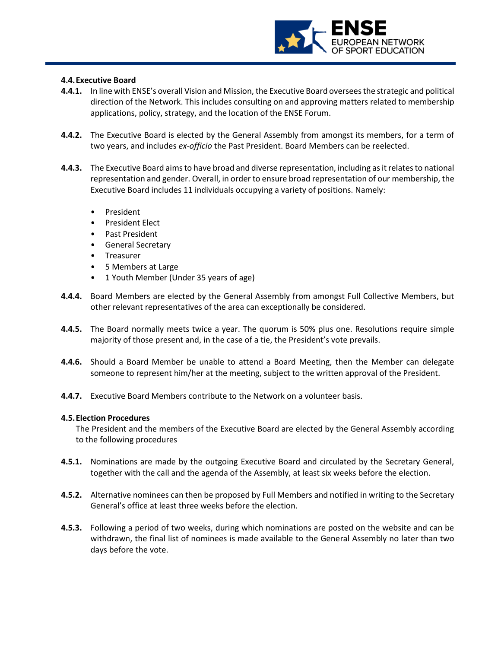

#### **4.4.Executive Board**

 $\overline{a}$ 

- **4.4.1.** In line with ENSE's overall Vision and Mission, the Executive Board oversees the strategic and political direction of the Network. This includes consulting on and approving matters related to membership applications, policy, strategy, and the location of the ENSE Forum.
- **4.4.2.** The Executive Board is elected by the General Assembly from amongst its members, for a term of two years, and includes *ex-officio* the Past President. Board Members can be reelected.
- **4.4.3.** The Executive Board aims to have broad and diverse representation, including as it relates to national representation and gender. Overall, in order to ensure broad representation of our membership, the Executive Board includes 11 individuals occupying a variety of positions. Namely:
	- **President**
	- President Elect
	- Past President
	- General Secretary
	- Treasurer
	- 5 Members at Large
	- 1 Youth Member (Under 35 years of age)
- **4.4.4.** Board Members are elected by the General Assembly from amongst Full Collective Members, but other relevant representatives of the area can exceptionally be considered.
- **4.4.5.** The Board normally meets twice a year. The quorum is 50% plus one. Resolutions require simple majority of those present and, in the case of a tie, the President's vote prevails.
- **4.4.6.** Should a Board Member be unable to attend a Board Meeting, then the Member can delegate someone to represent him/her at the meeting, subject to the written approval of the President.
- **4.4.7.** Executive Board Members contribute to the Network on a volunteer basis.

#### **4.5.Election Procedures**

The President and the members of the Executive Board are elected by the General Assembly according to the following procedures

- **4.5.1.** Nominations are made by the outgoing Executive Board and circulated by the Secretary General, together with the call and the agenda of the Assembly, at least six weeks before the election.
- **4.5.2.** Alternative nominees can then be proposed by Full Members and notified in writing to the Secretary General's office at least three weeks before the election.
- **4.5.3.** Following a period of two weeks, during which nominations are posted on the website and can be withdrawn, the final list of nominees is made available to the General Assembly no later than two days before the vote.